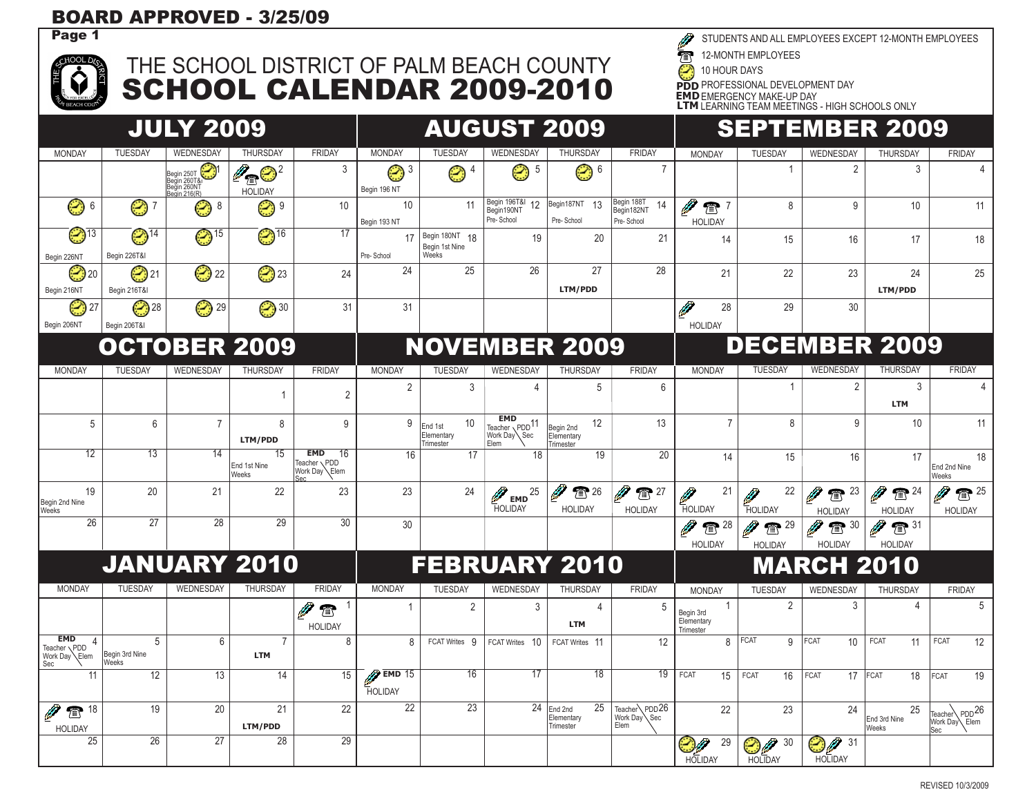## BOARD APPROVED - 3/25/09

 $r$ HOOL D

## THE SCHOOL DISTRICT OF PALM BEACH COUNTY SCHOOL CALENDAR 2009-2010

STUDENTS AND ALL EMPLOYEES EXCEPT 12-MONTH EMPLOYEES

 $\overline{\mathcal{T}}$ 12-MONTH EMPLOYEES

C 10 HOUR DAYS

**PDD** PROFESSIONAL DEVELOPMENT DAY

**EMD**EMERGENCY MAKE-UP DAY **LTM** LEARNING TEAM MEETINGS - HIGH SCHOOLS ONLY

|                                                    |                                          | <b>JULY 2009</b>                                              |                              |                                                  | <b>AUGUST 2009</b>                    |                                                       |                                                                 |                                                  |                                              | <b>SEPTEMBER 2009</b>                                          |                                     |                                           |                                                   |                                                     |  |
|----------------------------------------------------|------------------------------------------|---------------------------------------------------------------|------------------------------|--------------------------------------------------|---------------------------------------|-------------------------------------------------------|-----------------------------------------------------------------|--------------------------------------------------|----------------------------------------------|----------------------------------------------------------------|-------------------------------------|-------------------------------------------|---------------------------------------------------|-----------------------------------------------------|--|
| <b>MONDAY</b>                                      | <b>TUESDAY</b>                           | WEDNESDAY                                                     | <b>THURSDAY</b>              | <b>FRIDAY</b>                                    | <b>MONDAY</b>                         | <b>TUESDAY</b>                                        | WEDNESDAY                                                       | <b>THURSDAY</b>                                  | <b>FRIDAY</b>                                | <b>MONDAY</b>                                                  | <b>TUESDAY</b>                      | WEDNESDAY                                 | <b>THURSDAY</b>                                   | <b>FRIDAY</b>                                       |  |
|                                                    |                                          | ۳<br>Begin 250T<br>Begin 260T&<br>Begin 260NT<br>Begin 216(R) | $\n  Q0$<br><b>HOLIDAY</b>   | 3                                                | Begin 196 NT                          | $\overline{4}$<br>☺                                   | Ø<br>-5                                                         | ☺ '                                              | $\overline{7}$                               |                                                                | $\mathbf{1}$                        | $\overline{2}$                            | 3                                                 |                                                     |  |
| ☺ ہ                                                | ☺ 7                                      | ☺ 8                                                           | ☺ °                          | 10                                               | 10 <sup>°</sup><br>Begin 193 NT       | 11                                                    | Begin 196T&I 12<br>Begin190NT<br>Pre-School                     | Begin187NT 13<br>Pre-School                      | Begin 188T<br>14<br>Begin182NT<br>Pre-School | $\mathbb{C}$ <sup>7</sup><br><b>HOLIDAY</b>                    | 8                                   | 9                                         | 10                                                | 11                                                  |  |
| $\odot$ 13<br>Begin 226NT                          | $\bigodot$ <sup>14</sup><br>Begin 226T&I | $\bigcirc$ <sup>15</sup>                                      | $\bigcirc$ <sup>16</sup>     | 17                                               | 17<br>Pre-School                      | Begin 180NT 18<br>Begin 1st Nine<br>Weeks             | 19                                                              | 20                                               | 21                                           | 14                                                             | 15                                  | 16                                        | 17                                                | 18                                                  |  |
| ☺ 20<br>Begin 216NT                                | ☺ 21<br>Begin 216T&I                     | ☺ 22                                                          | 23                           | 24                                               | 24                                    | 25                                                    | 26                                                              | 27<br>LTM/PDD                                    | 28                                           | 21                                                             | 22                                  | 23                                        | 24<br>LTM/PDD                                     | 25                                                  |  |
| ☺ 27<br>Begin 206NT                                | ☺ 28<br>Begin 206T&I                     | 29                                                            | 30                           | 31                                               | 31                                    |                                                       |                                                                 |                                                  |                                              | $\overline{\mathscr{D}}$<br>28<br><b>HOLIDAY</b>               | 29                                  | 30                                        |                                                   |                                                     |  |
|                                                    |                                          | <b>OCTOBER 2009</b>                                           |                              |                                                  |                                       |                                                       |                                                                 | <b>NOVEMBER 2009</b>                             |                                              |                                                                |                                     | <b>DECEMBER 2009</b>                      |                                                   |                                                     |  |
| <b>MONDAY</b>                                      | <b>TUESDAY</b>                           | WEDNESDAY                                                     | <b>THURSDAY</b>              | <b>FRIDAY</b>                                    | <b>MONDAY</b>                         | <b>TUESDAY</b>                                        | WEDNESDAY                                                       | <b>THURSDAY</b>                                  | <b>FRIDAY</b>                                | <b>MONDAY</b>                                                  | <b>TUESDAY</b>                      | WEDNESDAY                                 | <b>THURSDAY</b>                                   | <b>FRIDAY</b>                                       |  |
|                                                    |                                          |                                                               | $\overline{1}$               | $\overline{2}$                                   | $\overline{2}$                        | 3                                                     | $\overline{4}$                                                  | 5                                                | 6                                            |                                                                | -1                                  | 2                                         | 3<br><b>LTM</b>                                   | $\overline{4}$                                      |  |
| 5                                                  | 6                                        | $\overline{7}$                                                | 8<br>LTM/PDD                 | 9                                                | 9                                     | 10 <sup>°</sup><br>End 1st<br>Elementary<br>Trimester | <b>EMD</b><br>Teacher PDD <sup>11</sup><br>Work Day Sec<br>Elem | 12<br>Begin 2nd<br>Elementary<br>Trimester       | 13                                           | $\overline{7}$                                                 | 8                                   | 9                                         | 10                                                | 11                                                  |  |
| 12                                                 | 13                                       | 14                                                            | 15<br>End 1st Nine<br>Weeks  | 16<br><b>EMD</b><br>Teacher PDD<br>Work Day Elem | 16                                    | 17                                                    | 18                                                              | 19                                               | 20                                           | 14                                                             | 15                                  | 16                                        | 17                                                | 18<br>End 2nd Nine<br>Weeks                         |  |
| 19<br>Begin 2nd Nine<br><b>Weeks</b>               | 20                                       | 21                                                            | 22                           | 23                                               | 23                                    | 24                                                    | 25<br>$\mathscr{D}_{\text{\tiny{EMD}}}$<br><b>HOLIDAY</b>       | $\mathscr{P}$<br>$\sqrt{2}$ 26<br><b>HOLIDAY</b> | Ø<br>$\sum 27$<br><b>HOLIDAY</b>             | 21<br>Ø<br><b>HOLIDAY</b>                                      | 22<br>Ø<br>HOLIDAY                  | $\overline{\bullet}$ 23<br><b>HOLIDAY</b> | $\mathscr{D}$<br>$\frac{24}{2}$<br><b>HOLIDAY</b> | $\circled{1}$ <sup>25</sup><br><b>HOLIDAY</b>       |  |
| 26                                                 | 27                                       | 28                                                            | 29                           | 30                                               | 30                                    |                                                       |                                                                 |                                                  |                                              | $\mathscr{P}$<br>$\circled{1}$ <sup>28</sup><br><b>HOLIDAY</b> | $\overline{\bullet}$ 29<br>HOI IDAY | ☎ 30<br><b>HOLIDAY</b>                    | $\mathscr{D}$ of $^{31}$<br><b>HOLIDAY</b>        |                                                     |  |
|                                                    |                                          | <b>JANUARY 2010</b>                                           |                              |                                                  |                                       |                                                       |                                                                 | <b>FEBRUARY 2010</b>                             |                                              |                                                                |                                     | <b>MARCH 2010</b>                         |                                                   |                                                     |  |
| <b>MONDAY</b>                                      | <b>TUESDAY</b>                           | WEDNESDAY                                                     | THURSDAY                     | <b>FRIDAY</b>                                    | <b>MONDAY</b>                         | <b>TUESDAY</b>                                        | WEDNESDAY                                                       | THURSDAY                                         | <b>FRIDAY</b>                                | <b>MONDAY</b>                                                  | TUESDAY                             | <b>WEDNESDAY</b>                          | THURSDAY                                          | <b>FRIDAY</b>                                       |  |
|                                                    |                                          |                                                               |                              | $\circledR$<br><b>HOLIDAY</b>                    | $\mathbf{1}$                          | $\overline{2}$                                        | $\mathbf{3}$                                                    | 4<br><b>LTM</b>                                  | 5                                            | -1<br>Begin 3rd<br>Elementary<br>Trimester                     | $\overline{2}$                      | 3                                         | $\overline{4}$                                    | 5                                                   |  |
| <b>EMD</b><br>Teacher \PDD<br>Work Day Elem<br>Sec | 5<br>Begin 3rd Nine<br>Weeks             | 6                                                             | $\overline{7}$<br><b>LTM</b> | 8                                                | 8                                     | FCAT Writes 9                                         | 10<br><b>FCAT Writes</b>                                        | FCAT Writes 11                                   | 12                                           | 8                                                              | <b>FCAT</b><br>9                    | <b>FCAT</b><br>10                         | FCAT<br>11                                        | FCAT<br>12                                          |  |
| 11                                                 | 12                                       | 13                                                            | $\overline{14}$              | 15                                               | $\mathbb{Z}$ EMD 15<br><b>HOLIDAY</b> | 16                                                    | 17                                                              | $\overline{18}$                                  | $\overline{19}$                              | FCAT<br>15                                                     | <b>FCAT</b><br>16                   | <b>FCAT</b><br>17                         | <b>FCAT</b><br>18                                 | 19<br><b>FCAT</b>                                   |  |
| 18<br>$\mathbf{T}$<br><b>HOLIDAY</b>               | 19                                       | 20                                                            | 21<br>LTM/PDD                | 22                                               | $\overline{22}$                       | $\overline{23}$                                       |                                                                 | $24$ End 2nd<br>25<br>Elementary<br>Trimester    | Teacher PDD 26<br>Work Day Sec<br>Elem       | 22                                                             | 23                                  | 24                                        | 25<br>End 3rd Nine<br><b>Weeks</b>                | Teacher PDD <sup>26</sup><br>Work Day\ Elem<br> Sec |  |
| 25                                                 | 26                                       | 27                                                            | 28                           | 29                                               |                                       |                                                       |                                                                 |                                                  |                                              | 29<br><b>HOLIDAY</b>                                           | sØ<br>30<br><b>HOLIDAY</b>          | 90<br>31<br><b>HOLIDAY</b>                |                                                   |                                                     |  |